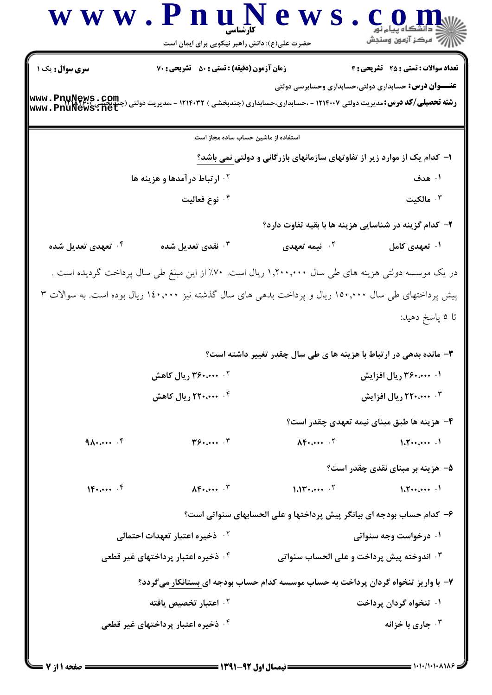|                                   | www.PnuNews<br>حضرت علی(ع): دانش راهبر نیکویی برای ایمان است |                                                                                                                                                                        |                                            |
|-----------------------------------|--------------------------------------------------------------|------------------------------------------------------------------------------------------------------------------------------------------------------------------------|--------------------------------------------|
| سری سوال: یک ۱<br>www.PnuNews.com | زمان آزمون (دقیقه) : تستی : ۵۰٪ تشریحی : ۷۰                  | <b>عنـــوان درس:</b> حسابداری دولتی،حسابداری وحسابرسی دولتی<br><b>رشته تحصیلی/کد درس:</b> مدیریت دولتی ۱۲۱۴۰۰۷ - ،حسابداری،حسابداری (چندبخشی ) ۱۲۱۴۰۳۲ - ،مدیریت دولتی | <b>تعداد سوالات : تستی : 25 گشریحی : 4</b> |
|                                   | استفاده از ماشین حساب ساده مجاز است                          |                                                                                                                                                                        |                                            |
|                                   |                                                              | ا– کدام یک از موارد زیر از تفاوتهای سازمانهای بازرگانی و دولتی نمی باشد؟                                                                                               |                                            |
|                                   | <b>1. ارتباط درآمدها و هزينه ها</b>                          |                                                                                                                                                                        | ۰۱ هدف                                     |
|                                   | ۰۴ نوع فعالیت                                                |                                                                                                                                                                        | ا مالکیت $\cdot$                           |
|                                   |                                                              | ۲- کدام گزینه در شناسایی هزینه ها با بقیه تفاوت دارد؟                                                                                                                  |                                            |
| ۰ <sup>۴</sup> تعهدی تعدیل شده    | نقدى تعديل شده $\cdot^{\texttt{w}}$                          | <sup>۲.</sup> نیمه ت <b>ع</b> هدی                                                                                                                                      | ۰۱ تعهدی کامل                              |
|                                   |                                                              | در یک موسسه دولتی هزینه های طی سال ۱٫۲۰۰٫۰۰۰ ریال است. ۷۰٪ از این مبلغ طی سال پرداخت گردیده است .                                                                      |                                            |
|                                   |                                                              | پیش پرداختهای طی سال ۱۵۰٬۰۰۰ ریال و پرداخت بدهی های سال گذشته نیز ۱٤۰٬۰۰۰ ریال بوده است. به سوالات ۳                                                                   |                                            |
|                                   |                                                              |                                                                                                                                                                        | تا ٥ پاسخ دهيد:                            |
|                                   |                                                              | ۳- مانده بدهی در ارتباط با هزینه ها ی طی سال چقدر تغییر داشته است؟                                                                                                     |                                            |
|                                   | ۲. ۳۶۰،۰۰۰ ریال کاهش                                         |                                                                                                                                                                        | ۰۱ ۳۶۰،۰۰۰ ریال افزایش                     |
|                                   | ۰۴ ۲۲۰٬۰۰۰ ریال کاهش                                         |                                                                                                                                                                        | <b>۴ منب ۲۲۰ ریال افزایش</b>               |
|                                   |                                                              |                                                                                                                                                                        | ۴– هزینه ها طبق مبنای نیمه تعهدی چقدر است؟ |
| $9\ldots$ . $F$                   | T9.000                                                       | $\Lambda$ F $\Lambda$                                                                                                                                                  | 1.5                                        |
|                                   |                                                              |                                                                                                                                                                        | ۵– هزینه بر مبنای نقدی چقدر است؟           |
| $10.044 \cdot 10^{-4}$            | $\Lambda$ $F$ $\cdots$ $\Lambda$                             | $1.11$ $\cdots$ $\cdot$                                                                                                                                                | $1.7 \cdots \cdots$                        |
|                                   |                                                              | ۶– كدام حساب بودجه اي بيانگر پيش پرداختها و على الحسابهاي سنواتي است؟                                                                                                  |                                            |
|                                   | ۰۲ ذخیره اعتبار تعهدات احتمال <u>ی</u>                       |                                                                                                                                                                        | ۰۱ درخواست وجه سنواتی                      |
|                                   | ۰۴ ذخیره اعتبار پرداختهای غیر قطعی                           | <b>4 . اندوخته پیش پرداخت و علی الحساب سنواتی</b>                                                                                                                      |                                            |
|                                   |                                                              | ۷– با واریز تنخواه گردان پرداخت به حساب موسسه کدام حساب بودجه ای بستانکار میگردد؟                                                                                      |                                            |
|                                   | ۰ <sup>۲</sup> اعتبار تخصیص یافته                            |                                                                                                                                                                        | ۰۱ تنخواه گردان پرداخت                     |
|                                   | ۰ <sup>۴</sup> ذخیره اعتبار پرداختهای غیر قطعی               |                                                                                                                                                                        | جاري با خزانه $\cdot$                      |
|                                   |                                                              |                                                                                                                                                                        |                                            |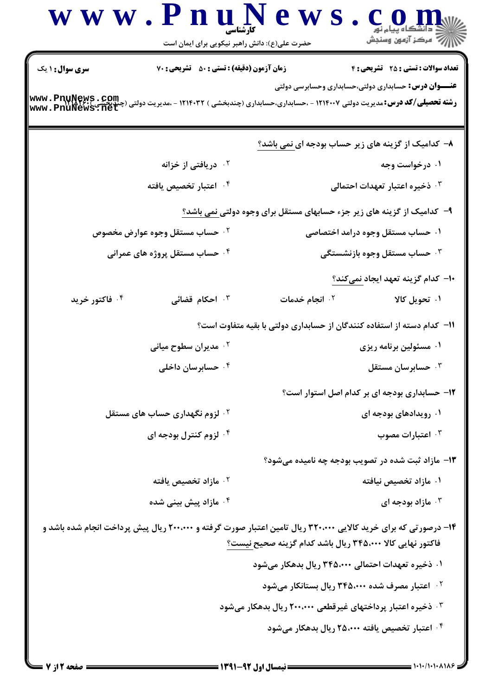|                 | حضرت علی(ع): دانش راهبر نیکویی برای ایمان است       | لاڪ دانشڪاه پيام نور<br>  />   مرکز  آزمون  وسنڊش                                                                                                                            |
|-----------------|-----------------------------------------------------|------------------------------------------------------------------------------------------------------------------------------------------------------------------------------|
| سری سوال: ۱ یک  | زمان آزمون (دقیقه) : تستی : 50 ٪ تشریحی : 70        | <b>تعداد سوالات : تستی : 25 ۔ تشریحی : 4</b>                                                                                                                                 |
| www.Pnunews.com |                                                     | <b>عنـــوان درس:</b> حسابداری دولتی،حسابداری وحسابرسی دولتی<br><b>رشته تحصیلی/کد درس: م</b> دیریت دولتی ۱۲۱۴۰۰۷ - ،حسابداری،حسابداری (چندبخشی ) ۱۲۱۴۰۳۲ - ،مدیریت دولتی (۰   |
|                 |                                                     | ۸– کدامیک از گزینه های زیر حساب بودجه ای نمی باشد؟                                                                                                                           |
|                 | <sup>۲</sup> ۰ دریافتی از خزانه                     | ۰۱ درخواست وجه                                                                                                                                                               |
|                 | ۰۴ اعتبار تخصیص یافته                               | ۰۳ ذخیره اعتبار تعهدات احتمالی                                                                                                                                               |
|                 |                                                     | ۹- کدامیک از گزینه های زیر جزء حسابهای مستقل برای وجوه دولتی <u>نمی باشد؟</u>                                                                                                |
|                 | ۰ <sup>۲</sup> حساب مستقل وجوه عوارض م <i>خص</i> وص | ۰۱ حساب مستقل وجوه درامد اختصاصی                                                                                                                                             |
|                 | ۰۴ حساب مستقل پروژه های عمرانی                      | ۰ <sup>۳</sup> حساب مستقل وجوه بازنشستگی                                                                                                                                     |
|                 |                                                     | ۱۰– کدام گزینه تعهد ایجاد نمیکند؟                                                                                                                                            |
| ۰۴ فاکتور خرید  | ۰ <sup>۳</sup> احکام قضائی                          | ۰۱ تحویل کالا<br>۰۲ انجام خدمات                                                                                                                                              |
|                 |                                                     | <b>۱۱– کدام دسته از استفاده کنندگان از حسابداری دولتی با بقیه متفاوت است</b> ؟                                                                                               |
|                 | ۰ <sup>۲</sup> مدیران سطوح میانی                    | ۰۱ مسئولین برنامه ریزی                                                                                                                                                       |
|                 | ۰ <sup>۴</sup> حسابرسان داخلی                       | حسابرسان مستقل $\cdot^{\mathsf{y}}$                                                                                                                                          |
|                 |                                                     | ۱۲- حسابداری بودجه ای بر کدام اصل استوار است؟                                                                                                                                |
|                 | <sup>۲ .</sup> لزوم نگهداری حساب های مستقل          | ۰۱ رویدادهای بودجه ای                                                                                                                                                        |
|                 | ۰۴ لزوم کنترل بودجه ای                              | اعتبارات مصوب $\cdot$ "                                                                                                                                                      |
|                 |                                                     | ۱۳- مازاد ثبت شده در تصویب بودجه چه نامیده میشود؟                                                                                                                            |
|                 | ۰۲ مازاد تخصیص یافته                                | ۰۱ مازاد تخصیص نیافته                                                                                                                                                        |
|                 | ۰ <sup>۴</sup> مازاد پیش بینی شده                   | ا مازاد بودجه ای $\cdot$ ۳                                                                                                                                                   |
|                 |                                                     | ۱۴– درصورتی که برای خرید کالایی ۳۲۰،۰۰۰ ریال تامین اعتبار صورت گرفته و ۲۰۰،۰۰۰ ریال پیش پرداخت انجام شده باشد و<br>فاكتور نهايي كالا ۳۴۵،۰۰۰ ريال باشد كدام گزينه صحيح نيست؟ |
|                 |                                                     | ۰۱ ذخیره تعهدات احتمالی ۳۴۵،۰۰۰ ریال بدهکار میشود                                                                                                                            |
|                 |                                                     | <sup>۲.</sup> اعتبار مصرف شده ۳۴۵،۰۰۰ ریال بستانکار میشود                                                                                                                    |
|                 |                                                     | ۰ <sup>۳</sup> ذخیره اعتبار پرداختهای غیرقطعی ۲۰۰،۰۰۰ ریال بدهکار میشود                                                                                                      |
|                 |                                                     | ۰۴ اعتبار تخصیص یافته ۲۵،۰۰۰ ریال بدهکار میشود                                                                                                                               |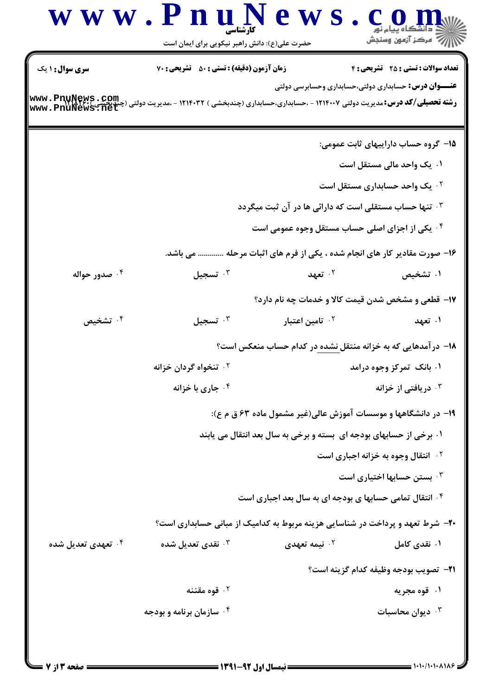| <b>سری سوال : ۱ یک</b><br>www.PnuNews.com | زمان آزمون (دقیقه) : تستی : 50 ٪ تشریحی : 70 | <b>رشته تحصیلی/کد درس:</b> مدیریت دولتی ۱۲۱۴۰۰۷ - ،حسابداری،حسابداری (چندبخشی ) ۱۲۱۴۰۳۲ - ،مدیریت دولتی (، | <b>تعداد سوالات : تستی : 25 ۔ تشریحی : 4</b><br><b>عنــــوان درس:</b> حسابداری دولتی،حسابداری وحسابرسی دولتی |
|-------------------------------------------|----------------------------------------------|------------------------------------------------------------------------------------------------------------|--------------------------------------------------------------------------------------------------------------|
|                                           |                                              |                                                                                                            |                                                                                                              |
|                                           |                                              |                                                                                                            | ۱۵– گروه حساب داراییهای ثابت عمومی:                                                                          |
|                                           |                                              |                                                                                                            | ۰۱ یک واحد مالی مستقل است                                                                                    |
|                                           |                                              | ۰۳ تنها حساب مستقلی است که دارائی ها در آن ثبت میگردد                                                      | <b>۲ . یک واحد حسابداری مستقل است</b>                                                                        |
|                                           |                                              | ۰۴ یکی از اجزای اصلی حساب مستقل وجوه عمومی است                                                             |                                                                                                              |
|                                           | می باشد.                                     |                                                                                                            | ۱۶- صورت مقادیر کار های انجام شده ، یکی از فرم های اثبات مرحله                                               |
| ۰۴ صدور حواله                             | تسجيل $\cdot$                                | ۰۲ تعهد                                                                                                    | ۰۱ تشخیص                                                                                                     |
|                                           |                                              |                                                                                                            | <b>۱۷</b> - قطعی و مشخص شدن قیمت کالا و خدمات چه نام دارد؟                                                   |
| ۰۴ تشخیص                                  | $\cdot$ تسجيل                                | ۰ <sup>۲</sup> تامین اعتبار                                                                                | ۰۱ تعهد                                                                                                      |
|                                           |                                              |                                                                                                            | ۱۸– درآمدهایی که به خزانه منتقل <u>نشده در</u> کدام حساب منعکس است؟                                          |
|                                           | ۰ <sup>۲</sup> تنخواه گردان خزانه            |                                                                                                            | ۰۱ بانک تمرکز وجوه درامد                                                                                     |
|                                           | خاری با خزانه $\cdot$ ۴ $\cdot$              |                                                                                                            | دریافتی از خزانه $\cdot$ "                                                                                   |
|                                           |                                              |                                                                                                            | ۱۹- در دانشگاهها و موسسات آموزش عالی(غیر مشمول ماده ۶۳ ق م ع):                                               |
|                                           |                                              | ۰۱ برخی از حسابهای بودجه ای بسته و برخی به سال بعد انتقال می یابند                                         |                                                                                                              |
|                                           |                                              |                                                                                                            | <b>10 انتقال وجوه به خزانه اجباری است</b>                                                                    |
|                                           |                                              |                                                                                                            | بستن حسابها اختیاری است $\cdot^{\texttt{w}}$                                                                 |
|                                           |                                              | <b>۴ قانتقال تمامی حسابها ی بودجه ای به سال بعد اجباری است</b>                                             |                                                                                                              |
|                                           |                                              |                                                                                                            | ۲۰- شرط تعهد و پرداخت در شناسایی هزینه مربوط به کدامیک از مبانی حسابداری است؟                                |
| ۰ <sup>۴</sup> تعهدی تعدیل شده            | نقدی تعدیل شده $\cdot$ "                     | ۰ <sup>۲</sup> نیمه تعهدی                                                                                  | ۰۱ نقدی کامل                                                                                                 |
|                                           |                                              |                                                                                                            | <b>٢١</b> - تصويب بودجه وظيفه كدام گزينه است؟                                                                |
|                                           | ۰۲ قوه مقننه                                 |                                                                                                            | ۰۱ قوه مجریه                                                                                                 |
|                                           | ۰۴ سازمان برنامه و بودجه                     |                                                                                                            | ديوان محاسبات $\cdot^{\mathsf{\texttt{v}}}$                                                                  |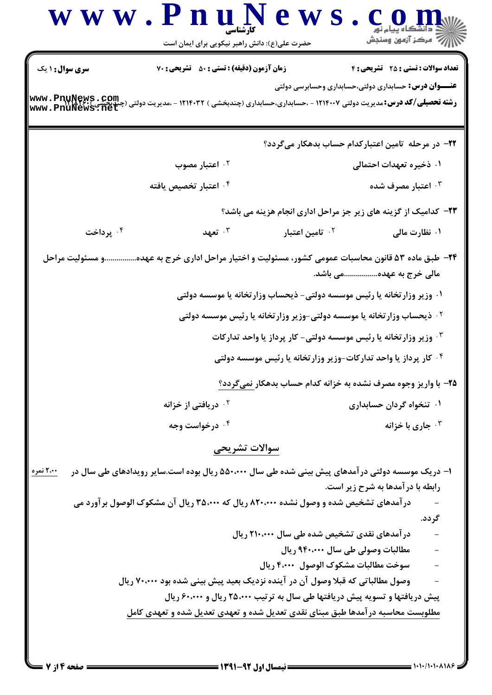| <b>سری سوال : ۱ یک</b><br>www.PnuNews.com<br>۰۴ پرداخت<br>۲۴– طبق ماده ۵۳ قانون محاسبات عمومی کشور، مسئولیت و اختیار مراحل اداری خرج به عهدهو مسئولیت مراحل | زمان آزمون (دقیقه) : تستی : ۵۰٪ تشریحی : ۷۰<br><b>رشته تحصیلی/کد درس:</b> مدیریت دولتی ۱۲۱۴۰۰۷ - ،حسابداری،حسابداری (چندبخشی ) ۱۲۱۴۰۳۲ - ،مدیریت دولتی (چ<br>۰ <sup>۲</sup> اعتبار مصوب<br>۰ <sup>۴</sup> اعتبار تخصیص یافته<br>۰۳ تعهد | <b>۲۳</b> - کدامیک از گزینه های زیر جز مراحل اداری انجام هزینه می باشد؟<br>۰ <sup>۲</sup> تامین اعتبار |                                   | <b>تعداد سوالات : تستی : 25 - تشریحی : 4</b><br><b>عنـــوان درس:</b> حسابداری دولتی،حسابداری وحسابرسی دولتی<br>۲۲– در مرحله تامین اعتبارکدام حساب بدهکار میگردد؟<br>۰۱ ذخیره تعهدات احتمالی<br>اعتبار مصرف شده $\cdot$ ۳<br>۰۱ نظارت مالی |        |
|-------------------------------------------------------------------------------------------------------------------------------------------------------------|-----------------------------------------------------------------------------------------------------------------------------------------------------------------------------------------------------------------------------------------|--------------------------------------------------------------------------------------------------------|-----------------------------------|-------------------------------------------------------------------------------------------------------------------------------------------------------------------------------------------------------------------------------------------|--------|
|                                                                                                                                                             |                                                                                                                                                                                                                                         |                                                                                                        |                                   |                                                                                                                                                                                                                                           |        |
|                                                                                                                                                             |                                                                                                                                                                                                                                         |                                                                                                        |                                   |                                                                                                                                                                                                                                           |        |
|                                                                                                                                                             |                                                                                                                                                                                                                                         |                                                                                                        |                                   |                                                                                                                                                                                                                                           |        |
|                                                                                                                                                             |                                                                                                                                                                                                                                         |                                                                                                        |                                   |                                                                                                                                                                                                                                           |        |
|                                                                                                                                                             |                                                                                                                                                                                                                                         |                                                                                                        |                                   |                                                                                                                                                                                                                                           |        |
|                                                                                                                                                             |                                                                                                                                                                                                                                         |                                                                                                        |                                   |                                                                                                                                                                                                                                           |        |
|                                                                                                                                                             |                                                                                                                                                                                                                                         |                                                                                                        |                                   |                                                                                                                                                                                                                                           |        |
|                                                                                                                                                             |                                                                                                                                                                                                                                         |                                                                                                        |                                   |                                                                                                                                                                                                                                           |        |
|                                                                                                                                                             |                                                                                                                                                                                                                                         |                                                                                                        |                                   |                                                                                                                                                                                                                                           |        |
|                                                                                                                                                             |                                                                                                                                                                                                                                         |                                                                                                        |                                   | مالی خرج به عهده باشد.                                                                                                                                                                                                                    |        |
|                                                                                                                                                             | ۰۱ وزیر وزارتخانه یا رئیس موسسه دولتی- ذیحساب وزارتخانه یا موسسه دولتی                                                                                                                                                                  |                                                                                                        |                                   |                                                                                                                                                                                                                                           |        |
|                                                                                                                                                             | <sup>۲ .</sup> ذیحساب وزار تخانه یا موسسه دولتی-وزیر وزار تخانه یا رئیس موسسه دولتی                                                                                                                                                     |                                                                                                        |                                   |                                                                                                                                                                                                                                           |        |
|                                                                                                                                                             |                                                                                                                                                                                                                                         | ۰۳ وزیر وزارتخانه یا رئیس موسسه دولتی- کار پرداز یا واحد تدارکات                                       |                                   |                                                                                                                                                                                                                                           |        |
|                                                                                                                                                             |                                                                                                                                                                                                                                         | ۰۴ کار پرداز یا واحد تدارکات-وزیر وزارتخانه یا رئیس موسسه دولتی                                        |                                   |                                                                                                                                                                                                                                           |        |
|                                                                                                                                                             |                                                                                                                                                                                                                                         | ۲۵- با واریز وجوه مصرف نشده به خزانه کدام حساب بدهکار نمیگردد؟                                         |                                   |                                                                                                                                                                                                                                           |        |
|                                                                                                                                                             | <sup>۲ .</sup> دریافتی از خزانه                                                                                                                                                                                                         |                                                                                                        |                                   | ۰۱ تنخواه گردان حسابداری                                                                                                                                                                                                                  |        |
|                                                                                                                                                             | ۰۴ درخواست وجه                                                                                                                                                                                                                          |                                                                                                        |                                   | جاری با خزانه $\cdot ^{\intercal}$                                                                                                                                                                                                        |        |
|                                                                                                                                                             | سوالات تشريحى                                                                                                                                                                                                                           |                                                                                                        |                                   |                                                                                                                                                                                                                                           |        |
|                                                                                                                                                             |                                                                                                                                                                                                                                         |                                                                                                        |                                   |                                                                                                                                                                                                                                           |        |
| ۱– دریک موسسه دولتی در آمدهای پیش بینی شده طی سال ۵۵۰٬۰۰۰ ریال بوده است.سایر رویدادهای طی سال در<br>۲،۰۰ نمره                                               |                                                                                                                                                                                                                                         |                                                                                                        |                                   | رابطه با در آمدها به شرح زیر است.                                                                                                                                                                                                         |        |
| درآمدهای تشخیص شده و وصول نشده ۸۲۰،۰۰۰ ریال که ۳۵،۰۰۰ ریال آن مشکوک الوصول برآورد می                                                                        |                                                                                                                                                                                                                                         |                                                                                                        |                                   |                                                                                                                                                                                                                                           |        |
|                                                                                                                                                             |                                                                                                                                                                                                                                         |                                                                                                        |                                   |                                                                                                                                                                                                                                           | گر دد. |
|                                                                                                                                                             |                                                                                                                                                                                                                                         | درآمدهای نقدی تشخیص شده طی سال ۲۱۰،۰۰۰ ریال                                                            |                                   |                                                                                                                                                                                                                                           |        |
|                                                                                                                                                             |                                                                                                                                                                                                                                         |                                                                                                        | مطالبات وصولی طی سال ۹۴۰،۰۰۰ ریال |                                                                                                                                                                                                                                           |        |
|                                                                                                                                                             |                                                                                                                                                                                                                                         | سوخت مطالبات مشكوك الوصول ۴٬۰۰۰ ريال                                                                   |                                   |                                                                                                                                                                                                                                           |        |
|                                                                                                                                                             | وصول مطالباتی که قبلا وصول آن در آینده نزدیک بعید پیش بینی شده بود ۷۰،۰۰۰ ریال                                                                                                                                                          |                                                                                                        |                                   |                                                                                                                                                                                                                                           |        |
|                                                                                                                                                             | پیش دریافتها و تسویه پیش دریافتها طی سال به ترتیب ۲۵،۰۰۰ ریال و ۶۰،۰۰۰ ریال                                                                                                                                                             |                                                                                                        |                                   |                                                                                                                                                                                                                                           |        |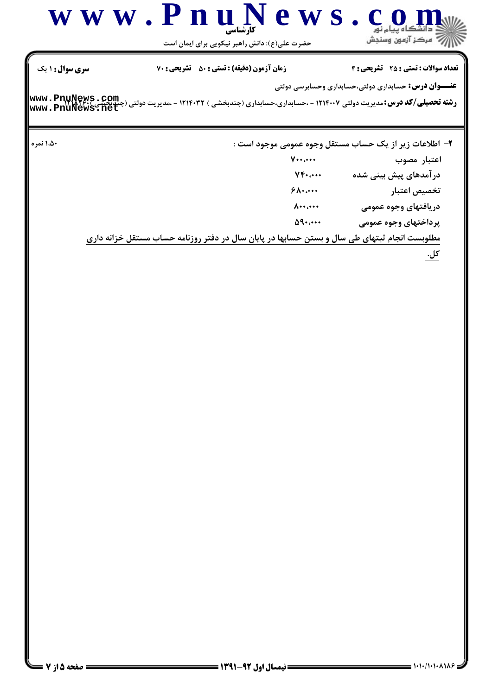

حضرت علی(ع): دانش راهبر نیکویی برای ایمان است

**تعداد سوالات : تستی : 25 - تشریحی : 4** 

زمان آزمون (دقیقه) : تستی : 50 ٪ تشریحی : 70

**سری سوال : ۱ یک** 

۱،۵۰ نمره

**عنـــوان درس:** حسابداري دولتي،حسابداري وحسابرسي دولتي

**رشته تحصیلی/کد درس:**مدیریت دولتی ۱۲۱۴۰۰۷ - ،حسابداری،حسابداری (چندبخشی ) ۱۲۱۴۰۳۲ - ،مدیریت دولتی (چندچشی **www . PnuNews . Com**<br>www . PnuNews . net

۲- اطلاعات زیر از یک حساب مستقل وجوه عمومی موجود است :

 $V \cdots$ اعتبار مصوب  $YF$ ... در آمدهای پیش بینی شده  $90...$ تخصيص اعتبار دريافتهاي وجوه عمومي  $\Lambda$ ...  $\Delta$ 9.... پرداختهای وجوه عمومی

مطلوبست انجام ثبتهای طی سال و بستن حسابها در پایان سال در دفتر روزنامه حساب مستقل خزانه داری

کل.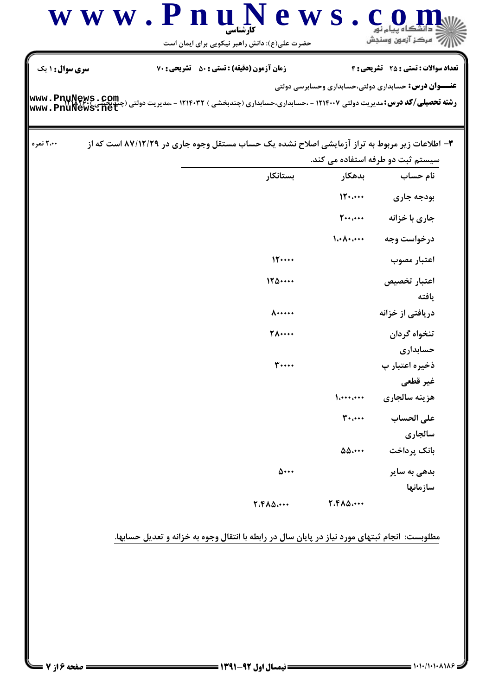|                                    | کارشناسی<br>حضرت علی(ع): دانش راهبر نیکویی برای ایمان است                                                 |                                                | رج آمرڪز آزمون وسنڊش                                        |
|------------------------------------|-----------------------------------------------------------------------------------------------------------|------------------------------------------------|-------------------------------------------------------------|
| سری سوال: ۱ یک                     | زمان آزمون (دقیقه) : تستی : 50 ٪ تشریحی : 70                                                              |                                                | <b>تعداد سوالات : تستی : 25 ۔ تشریحی : 4</b>                |
| www.PnuNews.com<br>www.PnuNews.net | <b>رشته تحصیلی/کد درس:</b> مدیریت دولتی ۱۲۱۴۰۰۷ - ،حسابداری،حسابداری (چندبخشی ) ۱۲۱۴۰۳۲ - ،مدیریت دولتی ( |                                                | <b>عنـــوان درس:</b> حسابداری دولتی،حسابداری وحسابرسی دولتی |
| ۲،۰۰ نمره                          | ۳- اطلاعات زیر مربوط به تراز آزمایشی اصلاح نشده یک حساب مستقل وجوه جاری در ۸۷/۱۲/۲۹ است که از             |                                                | سیستم ثبت دو طرفه استفاده می کند.                           |
|                                    | بستانكار                                                                                                  | بدهكار                                         | نام حساب                                                    |
|                                    |                                                                                                           | 15                                             | بودجه جارى                                                  |
|                                    |                                                                                                           | $\mathbf{y} \cdot \mathbf{y} \cdot \mathbf{y}$ | جاری با خزانه                                               |
|                                    |                                                                                                           | $\lambda \cdot \lambda \cdot \cdots$           | درخواست وجه                                                 |
|                                    | 15                                                                                                        |                                                | اعتبار مصوب                                                 |
|                                    | 170                                                                                                       |                                                | اعتبار تخصيص<br>يافته                                       |
|                                    | $\Lambda$                                                                                                 |                                                | دریافتی از خزانه                                            |
|                                    | <b>TA</b>                                                                                                 |                                                | تنخواه گردان<br>حسابداري                                    |
|                                    | <b>٣</b>                                                                                                  |                                                | ذخیره اعتبار پ<br>غير قطعي                                  |
|                                    |                                                                                                           | $\left\{ \ldots \right\}$                      | هزينه سالجاري                                               |
|                                    |                                                                                                           | $\mathbf{r}$                                   | على الحساب<br>سالجاري                                       |
|                                    |                                                                                                           | $\Delta\Delta\cdots$                           | بانک پرداخت                                                 |
|                                    | ۵۰۰۰                                                                                                      |                                                | بدهی به سایر<br>سازمانها                                    |
|                                    | 7.410                                                                                                     | 7.610                                          |                                                             |